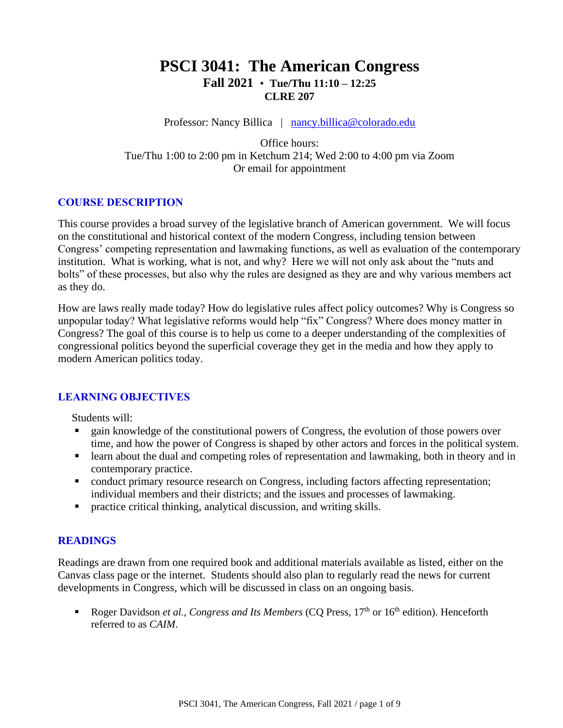# **PSCI 3041: The American Congress Fall 2021** • **Tue/Thu 11:10 – 12:25 CLRE 207**

Professor: Nancy Billica | [nancy.billica@colorado.edu](mailto:nancy.billica@colorado.edu)

Office hours: Tue/Thu 1:00 to 2:00 pm in Ketchum 214; Wed 2:00 to 4:00 pm via Zoom Or email for appointment

## **COURSE DESCRIPTION**

This course provides a broad survey of the legislative branch of American government. We will focus on the constitutional and historical context of the modern Congress, including tension between Congress' competing representation and lawmaking functions, as well as evaluation of the contemporary institution. What is working, what is not, and why? Here we will not only ask about the "nuts and bolts" of these processes, but also why the rules are designed as they are and why various members act as they do.

How are laws really made today? How do legislative rules affect policy outcomes? Why is Congress so unpopular today? What legislative reforms would help "fix" Congress? Where does money matter in Congress? The goal of this course is to help us come to a deeper understanding of the complexities of congressional politics beyond the superficial coverage they get in the media and how they apply to modern American politics today.

## **LEARNING OBJECTIVES**

Students will:

- gain knowledge of the constitutional powers of Congress, the evolution of those powers over time, and how the power of Congress is shaped by other actors and forces in the political system.
- learn about the dual and competing roles of representation and lawmaking, both in theory and in contemporary practice.
- conduct primary resource research on Congress, including factors affecting representation; individual members and their districts; and the issues and processes of lawmaking.
- practice critical thinking, analytical discussion, and writing skills.

## **READINGS**

Readings are drawn from one required book and additional materials available as listed, either on the Canvas class page or the internet. Students should also plan to regularly read the news for current developments in Congress, which will be discussed in class on an ongoing basis.

Roger Davidson *et al.*, *Congress and Its Members* (CO Press, 17<sup>th</sup> or 16<sup>th</sup> edition). Henceforth referred to as *CAIM*.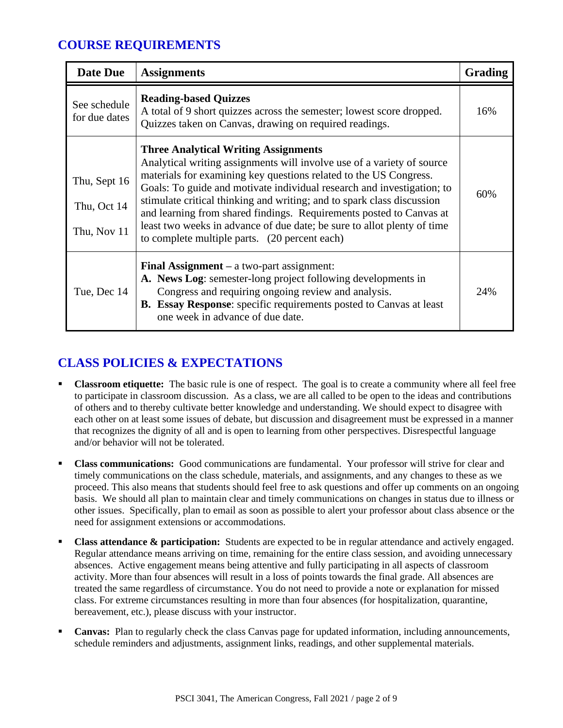# **COURSE REQUIREMENTS**

| Date Due                                   | <b>Assignments</b>                                                                                                                                                                                                                                                                                                                                                                                                                                                                                                                                | Grading |
|--------------------------------------------|---------------------------------------------------------------------------------------------------------------------------------------------------------------------------------------------------------------------------------------------------------------------------------------------------------------------------------------------------------------------------------------------------------------------------------------------------------------------------------------------------------------------------------------------------|---------|
| See schedule<br>for due dates              | <b>Reading-based Quizzes</b><br>A total of 9 short quizzes across the semester; lowest score dropped.<br>Quizzes taken on Canvas, drawing on required readings.                                                                                                                                                                                                                                                                                                                                                                                   | 16%     |
| Thu, Sept 16<br>Thu, Oct 14<br>Thu, Nov 11 | <b>Three Analytical Writing Assignments</b><br>Analytical writing assignments will involve use of a variety of source<br>materials for examining key questions related to the US Congress.<br>Goals: To guide and motivate individual research and investigation; to<br>stimulate critical thinking and writing; and to spark class discussion<br>and learning from shared findings. Requirements posted to Canvas at<br>least two weeks in advance of due date; be sure to allot plenty of time<br>to complete multiple parts. (20 percent each) | 60%     |
| Tue, Dec 14                                | Final Assignment $-$ a two-part assignment:<br>A. News Log: semester-long project following developments in<br>Congress and requiring ongoing review and analysis.<br>B. Essay Response: specific requirements posted to Canvas at least<br>one week in advance of due date.                                                                                                                                                                                                                                                                      | 24%     |

# **CLASS POLICIES & EXPECTATIONS**

- **Classroom etiquette:** The basic rule is one of respect. The goal is to create a community where all feel free to participate in classroom discussion. As a class, we are all called to be open to the ideas and contributions of others and to thereby cultivate better knowledge and understanding. We should expect to disagree with each other on at least some issues of debate, but discussion and disagreement must be expressed in a manner that recognizes the dignity of all and is open to learning from other perspectives. Disrespectful language and/or behavior will not be tolerated.
- **Class communications:** Good communications are fundamental. Your professor will strive for clear and timely communications on the class schedule, materials, and assignments, and any changes to these as we proceed. This also means that students should feel free to ask questions and offer up comments on an ongoing basis. We should all plan to maintain clear and timely communications on changes in status due to illness or other issues. Specifically, plan to email as soon as possible to alert your professor about class absence or the need for assignment extensions or accommodations.
- **Class attendance & participation:** Students are expected to be in regular attendance and actively engaged. Regular attendance means arriving on time, remaining for the entire class session, and avoiding unnecessary absences. Active engagement means being attentive and fully participating in all aspects of classroom activity. More than four absences will result in a loss of points towards the final grade. All absences are treated the same regardless of circumstance. You do not need to provide a note or explanation for missed class. For extreme circumstances resulting in more than four absences (for hospitalization, quarantine, bereavement, etc.), please discuss with your instructor.
- **Canvas:** Plan to regularly check the class Canvas page for updated information, including announcements, schedule reminders and adjustments, assignment links, readings, and other supplemental materials.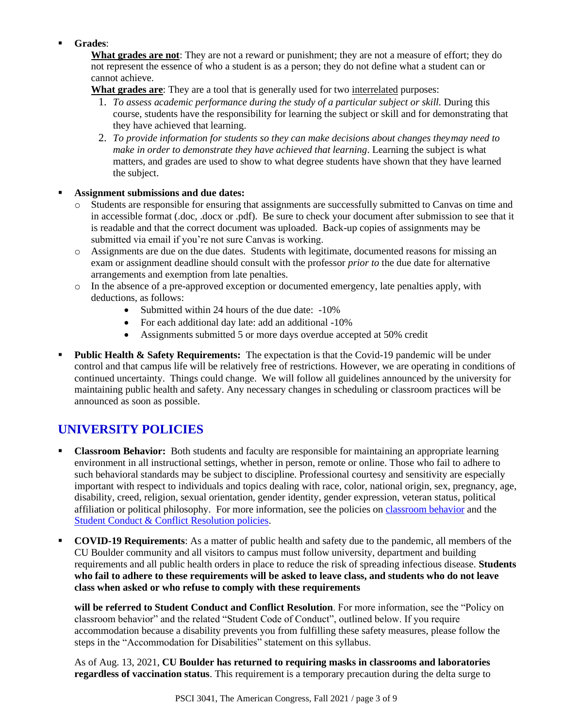## Grades:

**What grades are not**: They are not a reward or punishment; they are not a measure of effort; they do not represent the essence of who a student is as a person; they do not define what a student can or cannot achieve.

**What grades are**: They are a tool that is generally used for two interrelated purposes:

- 1. *To assess academic performance during the study of a particular subject or skill.* During this course, students have the responsibility for learning the subject or skill and for demonstrating that they have achieved that learning.
- 2. *To provide information for students so they can make decisions about changes theymay need to make in order to demonstrate they have achieved that learning*. Learning the subject is what matters, and grades are used to show to what degree students have shown that they have learned the subject.

## ▪ **Assignment submissions and due dates:**

- o Students are responsible for ensuring that assignments are successfully submitted to Canvas on time and in accessible format (.doc, .docx or .pdf). Be sure to check your document after submission to see that it is readable and that the correct document was uploaded. Back-up copies of assignments may be submitted via email if you're not sure Canvas is working.
- o Assignments are due on the due dates. Students with legitimate, documented reasons for missing an exam or assignment deadline should consult with the professor *prior to* the due date for alternative arrangements and exemption from late penalties.
- o In the absence of a pre-approved exception or documented emergency, late penalties apply, with deductions, as follows:
	- Submitted within 24 hours of the due date: -10%
	- For each additional day late: add an additional -10%
	- Assignments submitted 5 or more days overdue accepted at 50% credit
- **Public Health & Safety Requirements:** The expectation is that the Covid-19 pandemic will be under control and that campus life will be relatively free of restrictions. However, we are operating in conditions of continued uncertainty. Things could change. We will follow all guidelines announced by the university for maintaining public health and safety. Any necessary changes in scheduling or classroom practices will be announced as soon as possible.

# **UNIVERSITY POLICIES**

- **Classroom Behavior:** Both students and faculty are responsible for maintaining an appropriate learning environment in all instructional settings, whether in person, remote or online. Those who fail to adhere to such behavioral standards may be subject to discipline. Professional courtesy and sensitivity are especially important with respect to individuals and topics dealing with race, color, national origin, sex, pregnancy, age, disability, creed, religion, sexual orientation, gender identity, gender expression, veteran status, political affiliation or political philosophy. For more information, see the policies on [classroom behavior](http://www.colorado.edu/policies/student-classroom-and-course-related-behavior) and the [Student Conduct & Conflict Resolution policies.](https://www.colorado.edu/sccr/student-conduct)
- **COVID-19 Requirements**: As a matter of public health and safety due to the pandemic, all members of the CU Boulder community and all visitors to campus must follow university, department and building requirements and all public health orders in place to reduce the risk of spreading infectious disease. **Students who fail to adhere to these requirements will be asked to leave class, and students who do not leave class when asked or who refuse to comply with these requirements**

**will be referred to Student Conduct and Conflict Resolution**. For more information, see the "Policy on classroom behavior" and the related "Student Code of Conduct", outlined below. If you require accommodation because a disability prevents you from fulfilling these safety measures, please follow the steps in the "Accommodation for Disabilities" statement on this syllabus.

As of Aug. 13, 2021, **CU Boulder has returned to requiring masks in classrooms and laboratories regardless of vaccination status**. This requirement is a temporary precaution during the delta surge to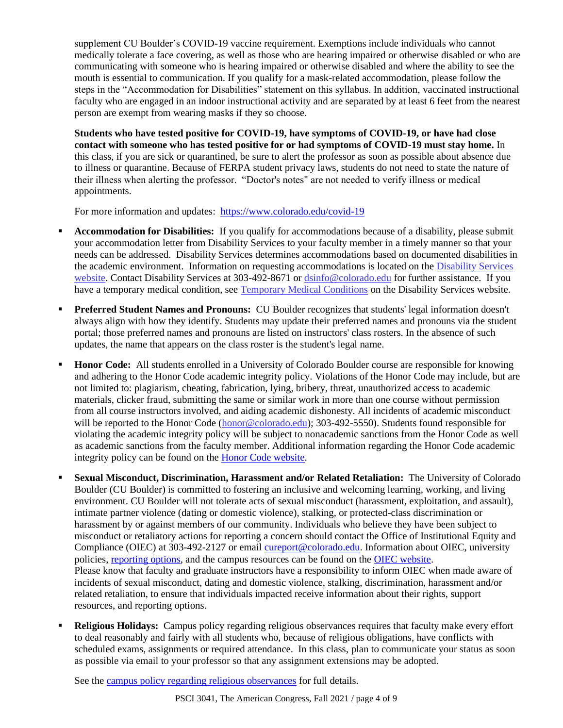supplement CU Boulder's COVID-19 vaccine requirement. Exemptions include individuals who cannot medically tolerate a face covering, as well as those who are hearing impaired or otherwise disabled or who are communicating with someone who is hearing impaired or otherwise disabled and where the ability to see the mouth is essential to communication. If you qualify for a mask-related accommodation, please follow the steps in the "Accommodation for Disabilities" statement on this syllabus. In addition, vaccinated instructional faculty who are engaged in an indoor instructional activity and are separated by at least 6 feet from the nearest person are exempt from wearing masks if they so choose.

**Students who have tested positive for COVID-19, have symptoms of COVID-19, or have had close contact with someone who has tested positive for or had symptoms of COVID-19 must stay home.** In this class, if you are sick or quarantined, be sure to alert the professor as soon as possible about absence due to illness or quarantine. Because of FERPA student privacy laws, students do not need to state the nature of their illness when alerting the professor. "Doctor's notes" are not needed to verify illness or medical appointments.

For more information and updates: <https://www.colorado.edu/covid-19>

- **Accommodation for Disabilities:** If you qualify for accommodations because of a disability, please submit your accommodation letter from Disability Services to your faculty member in a timely manner so that your needs can be addressed. Disability Services determines accommodations based on documented disabilities in the academic environment. Information on requesting accommodations is located on th[e Disability Services](https://www.colorado.edu/disabilityservices/)  [website.](https://www.colorado.edu/disabilityservices/) Contact Disability Services at 303-492-8671 or  $\frac{d \sin 6@{\rm colorado.edu}}{d \cos 2@{\rm colorado.edu}}$  for further assistance. If you have a temporary medical condition, see [Temporary Medical Conditions](http://www.colorado.edu/disabilityservices/students/temporary-medical-conditions) on the Disability Services website.
- **Preferred Student Names and Pronouns:** CU Boulder recognizes that students' legal information doesn't always align with how they identify. Students may update their preferred names and pronouns via the student portal; those preferred names and pronouns are listed on instructors' class rosters. In the absence of such updates, the name that appears on the class roster is the student's legal name.
- **Honor Code:** All students enrolled in a University of Colorado Boulder course are responsible for knowing and adhering to the Honor Code academic integrity policy. Violations of the Honor Code may include, but are not limited to: plagiarism, cheating, fabrication, lying, bribery, threat, unauthorized access to academic materials, clicker fraud, submitting the same or similar work in more than one course without permission from all course instructors involved, and aiding academic dishonesty. All incidents of academic misconduct will be reported to the Honor Code [\(honor@colorado.edu\)](mailto:honor@colorado.edu); 303-492-5550). Students found responsible for violating the academic integrity policy will be subject to nonacademic sanctions from the Honor Code as well as academic sanctions from the faculty member. Additional information regarding the Honor Code academic integrity policy can be found on the [Honor Code website.](https://www.colorado.edu/osccr/honor-code)
- **EXUAL MISCONDUCT, Discrimination, Harassment and/or Related Retaliation:** The University of Colorado Boulder (CU Boulder) is committed to fostering an inclusive and welcoming learning, working, and living environment. CU Boulder will not tolerate acts of sexual misconduct (harassment, exploitation, and assault), intimate partner violence (dating or domestic violence), stalking, or protected-class discrimination or harassment by or against members of our community. Individuals who believe they have been subject to misconduct or retaliatory actions for reporting a concern should contact the Office of Institutional Equity and Compliance (OIEC) at 303-492-2127 or email [cureport@colorado.edu.](mailto:cureport@colorado.edu) Information about OIEC, university policies[, reporting options,](https://www.colorado.edu/oiec/reporting-resolutions/making-report) and the campus resources can be found on the [OIEC website.](http://www.colorado.edu/institutionalequity/) Please know that faculty and graduate instructors have a responsibility to inform OIEC when made aware of incidents of sexual misconduct, dating and domestic violence, stalking, discrimination, harassment and/or related retaliation, to ensure that individuals impacted receive information about their rights, support resources, and reporting options.
- **Religious Holidays:** Campus policy regarding religious observances requires that faculty make every effort to deal reasonably and fairly with all students who, because of religious obligations, have conflicts with scheduled exams, assignments or required attendance. In this class, plan to communicate your status as soon as possible via email to your professor so that any assignment extensions may be adopted.

See the [campus policy regarding religious observances](http://www.colorado.edu/policies/observance-religious-holidays-and-absences-classes-andor-exams) for full details.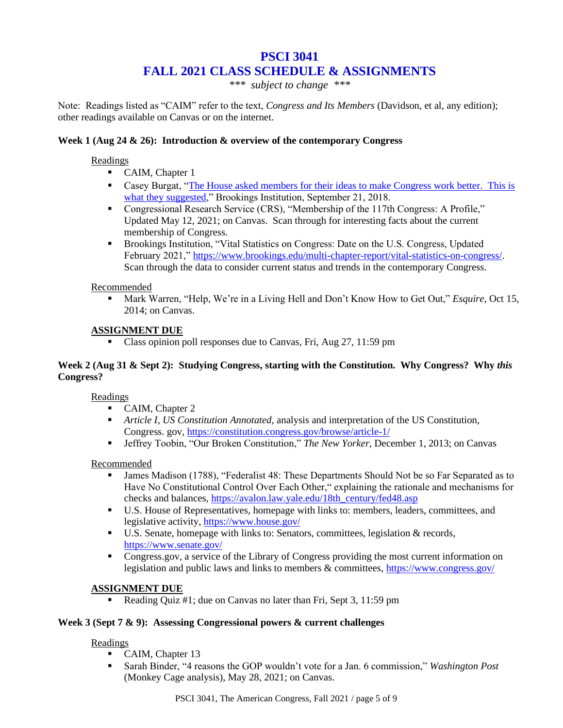## **PSCI 3041 FALL 2021 CLASS SCHEDULE & ASSIGNMENTS**

*\*\*\* subject to change \*\*\**

Note: Readings listed as "CAIM" refer to the text, *Congress and Its Members* (Davidson, et al, any edition); other readings available on Canvas or on the internet.

## **Week 1 (Aug 24 & 26): Introduction & overview of the contemporary Congress**

#### **Readings**

- CAIM, Chapter 1
- **•** Casey Burgat, "The House asked members for their ideas to make Congress work better. This is [what they suggested,](https://www.brookings.edu/blog/fixgov/2018/09/21/the-house-asked-members-for-their-ideas-to-make-congress-work-better-this-is-what-they-suggested/)" Brookings Institution, September 21, 2018.
- Congressional Research Service (CRS), "Membership of the 117th Congress: A Profile," Updated May 12, 2021; on Canvas. Scan through for interesting facts about the current membership of Congress.
- Brookings Institution, "Vital Statistics on Congress: Date on the U.S. Congress, Updated February 2021," [https://www.brookings.edu/multi-chapter-report/vital-statistics-on-congress/.](https://www.brookings.edu/multi-chapter-report/vital-statistics-on-congress/) Scan through the data to consider current status and trends in the contemporary Congress.

#### Recommended

Mark Warren, "Help, We're in a Living Hell and Don't Know How to Get Out," *Esquire*, Oct 15, 2014; on Canvas.

## **ASSIGNMENT DUE**

▪ Class opinion poll responses due to Canvas, Fri, Aug 27, 11:59 pm

#### **Week 2 (Aug 31 & Sept 2): Studying Congress, starting with the Constitution. Why Congress? Why** *this*  **Congress?**

Readings

- CAIM, Chapter 2
- *Article I, US Constitution Annotated,* analysis and interpretation of the US Constitution, Congress. gov,<https://constitution.congress.gov/browse/article-1/>
- Jeffrey Toobin, "Our Broken Constitution," *The New Yorker,* December 1, 2013; on Canvas

#### Recommended

- James Madison (1788), "Federalist 48: These Departments Should Not be so Far Separated as to Have No Constitutional Control Over Each Other," explaining the rationale and mechanisms for checks and balances, [https://avalon.law.yale.edu/18th\\_century/fed48.asp](https://avalon.law.yale.edu/18th_century/fed48.asp)
- U.S. House of Representatives, homepage with links to: members, leaders, committees, and legislative activity,<https://www.house.gov/>
- U.S. Senate, homepage with links to: Senators, committees, legislation & records, <https://www.senate.gov/>
- Congress.gov, a service of the Library of Congress providing the most current information on legislation and public laws and links to members & committees,<https://www.congress.gov/>

#### **ASSIGNMENT DUE**

Reading Quiz  $\#1$ ; due on Canvas no later than Fri, Sept 3, 11:59 pm

#### **Week 3 (Sept 7 & 9): Assessing Congressional powers & current challenges**

#### Readings

- CAIM, Chapter 13
- Sarah Binder, "4 reasons the GOP wouldn't vote for a Jan. 6 commission," *Washington Post*  (Monkey Cage analysis), May 28, 2021; on Canvas.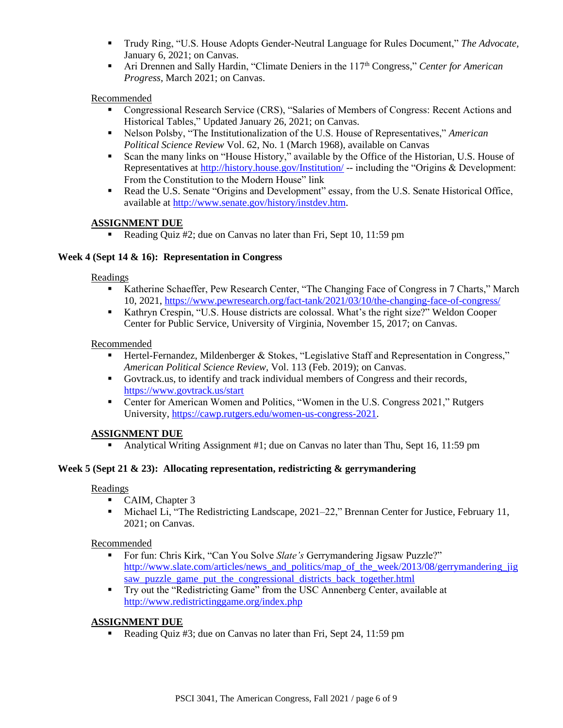- Trudy Ring, "U.S. House Adopts Gender-Neutral Language for Rules Document," *The Advocate*, January 6, 2021; on Canvas.
- Ari Drennen and Sally Hardin, "Climate Deniers in the 117<sup>th</sup> Congress," *Center for American Progress*, March 2021; on Canvas.

## Recommended

- Congressional Research Service (CRS), "Salaries of Members of Congress: Recent Actions and Historical Tables," Updated January 26, 2021; on Canvas.
- Nelson Polsby, "The Institutionalization of the U.S. House of Representatives," *American Political Science Review* Vol. 62, No. 1 (March 1968), available on Canvas
- Scan the many links on "House History," available by the Office of the Historian, U.S. House of Representatives at<http://history.house.gov/Institution/> -- including the "Origins & Development: From the Constitution to the Modern House" link
- Read the U.S. Senate "Origins and Development" essay, from the U.S. Senate Historical Office, available at [http://www.senate.gov/history/instdev.htm.](http://www.senate.gov/history/instdev.htm)

## **ASSIGNMENT DUE**

Reading Quiz  $#2$ ; due on Canvas no later than Fri, Sept 10, 11:59 pm

#### **Week 4 (Sept 14 & 16): Representation in Congress**

#### Readings

- Katherine Schaeffer, Pew Research Center, "The Changing Face of Congress in 7 Charts," March 10, 2021,<https://www.pewresearch.org/fact-tank/2021/03/10/the-changing-face-of-congress/>
- Kathryn Crespin, "U.S. House districts are colossal. What's the right size?" Weldon Cooper Center for Public Service, University of Virginia, November 15, 2017; on Canvas.

#### Recommended

- Hertel-Fernandez, Mildenberger & Stokes, "Legislative Staff and Representation in Congress," *American Political Science Review,* Vol. 113 (Feb. 2019); on Canvas.
- Govtrack.us, to identify and track individual members of Congress and their records, <https://www.govtrack.us/start>
- Center for American Women and Politics, "Women in the U.S. Congress 2021," Rutgers University, [https://cawp.rutgers.edu/women-us-congress-2021.](https://cawp.rutgers.edu/women-us-congress-2021)

#### **ASSIGNMENT DUE**

Analytical Writing Assignment #1; due on Canvas no later than Thu, Sept 16, 11:59 pm

#### **Week 5 (Sept 21 & 23): Allocating representation, redistricting & gerrymandering**

#### Readings

- CAIM, Chapter 3
- Michael Li, "The Redistricting Landscape, 2021–22," Brennan Center for Justice, February 11, 2021; on Canvas.

#### Recommended

- For fun: Chris Kirk, "Can You Solve *Slate's* Gerrymandering Jigsaw Puzzle?" [http://www.slate.com/articles/news\\_and\\_politics/map\\_of\\_the\\_week/2013/08/gerrymandering\\_jig](http://www.slate.com/articles/news_and_politics/map_of_the_week/2013/08/gerrymandering_jigsaw_puzzle_game_put_the_congressional_districts_back_together.html) [saw\\_puzzle\\_game\\_put\\_the\\_congressional\\_districts\\_back\\_together.html](http://www.slate.com/articles/news_and_politics/map_of_the_week/2013/08/gerrymandering_jigsaw_puzzle_game_put_the_congressional_districts_back_together.html)
- Try out the "Redistricting Game" from the USC Annenberg Center, available at <http://www.redistrictinggame.org/index.php>

#### **ASSIGNMENT DUE**

• Reading Quiz #3; due on Canvas no later than Fri, Sept 24, 11:59 pm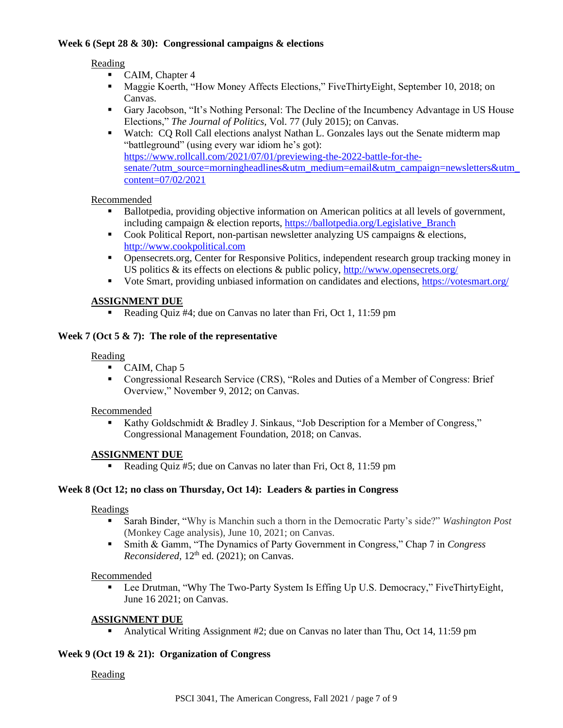#### **Week 6 (Sept 28 & 30): Congressional campaigns & elections**

#### **Reading**

- CAIM, Chapter 4
- Maggie Koerth, "How Money Affects Elections," FiveThirtyEight, September 10, 2018; on Canvas.
- Gary Jacobson, "It's Nothing Personal: The Decline of the Incumbency Advantage in US House Elections," *The Journal of Politics,* Vol. 77 (July 2015); on Canvas.
- Watch: CQ Roll Call elections analyst Nathan L. Gonzales lays out the Senate midterm map "battleground" (using every war idiom he's got): [https://www.rollcall.com/2021/07/01/previewing-the-2022-battle-for-the](https://www.rollcall.com/2021/07/01/previewing-the-2022-battle-for-the-senate/?utm_source=morningheadlines&utm_medium=email&utm_campaign=newsletters&utm_content=07/02/2021)[senate/?utm\\_source=morningheadlines&utm\\_medium=email&utm\\_campaign=newsletters&utm\\_](https://www.rollcall.com/2021/07/01/previewing-the-2022-battle-for-the-senate/?utm_source=morningheadlines&utm_medium=email&utm_campaign=newsletters&utm_content=07/02/2021) [content=07/02/2021](https://www.rollcall.com/2021/07/01/previewing-the-2022-battle-for-the-senate/?utm_source=morningheadlines&utm_medium=email&utm_campaign=newsletters&utm_content=07/02/2021)

#### Recommended

- **•** Ballotpedia, providing objective information on American politics at all levels of government, including campaign & election reports[, https://ballotpedia.org/Legislative\\_Branch](https://ballotpedia.org/Legislative_Branch)
- Cook Political Report, non-partisan newsletter analyzing US campaigns & elections, [http://www.cookpolitical.com](http://www.cookpolitical.com/)
- Opensecrets.org, Center for Responsive Politics, independent research group tracking money in US politics & its effects on elections & public policy,<http://www.opensecrets.org/>
- Vote Smart, providing unbiased information on candidates and elections,<https://votesmart.org/>

## **ASSIGNMENT DUE**

■ Reading Quiz #4; due on Canvas no later than Fri, Oct 1, 11:59 pm

## **Week 7 (Oct 5 & 7): The role of the representative**

#### Reading

- CAIM, Chap 5
- Congressional Research Service (CRS), "Roles and Duties of a Member of Congress: Brief Overview," November 9, 2012; on Canvas.

#### Recommended

■ Kathy Goldschmidt & Bradley J. Sinkaus, "Job Description for a Member of Congress," Congressional Management Foundation, 2018; on Canvas.

## **ASSIGNMENT DUE**

Reading Quiz #5; due on Canvas no later than Fri, Oct 8, 11:59 pm

#### **Week 8 (Oct 12; no class on Thursday, Oct 14): Leaders & parties in Congress**

#### Readings

- Sarah Binder, "Why is Manchin such a thorn in the Democratic Party's side?" *Washington Post* (Monkey Cage analysis), June 10, 2021; on Canvas.
- Smith & Gamm, "The Dynamics of Party Government in Congress," Chap 7 in *Congress Reconsidered,* 12<sup>th</sup> ed. (2021); on Canvas.

#### Recommended

Lee Drutman, "Why The Two-Party System Is Effing Up U.S. Democracy," FiveThirtyEight, June 16 2021; on Canvas.

## **ASSIGNMENT DUE**

▪ Analytical Writing Assignment #2; due on Canvas no later than Thu, Oct 14, 11:59 pm

#### **Week 9 (Oct 19 & 21): Organization of Congress**

## Reading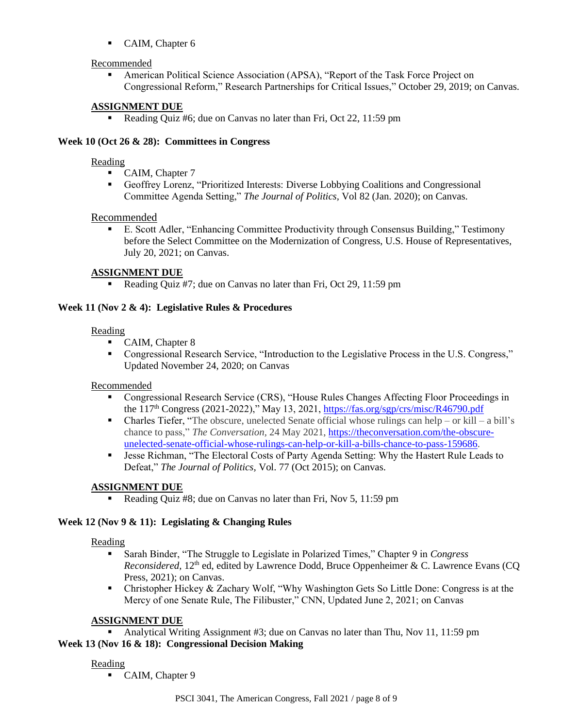■ CAIM, Chapter 6

## Recommended

American Political Science Association (APSA), "Report of the Task Force Project on Congressional Reform," Research Partnerships for Critical Issues," October 29, 2019; on Canvas.

## **ASSIGNMENT DUE**

• Reading Quiz #6; due on Canvas no later than Fri, Oct 22, 11:59 pm

## **Week 10 (Oct 26 & 28): Committees in Congress**

#### Reading

- CAIM, Chapter 7
- Geoffrey Lorenz, "Prioritized Interests: Diverse Lobbying Coalitions and Congressional Committee Agenda Setting," *The Journal of Politics,* Vol 82 (Jan. 2020); on Canvas.

#### Recommended

▪ E. Scott Adler, "Enhancing Committee Productivity through Consensus Building," Testimony before the Select Committee on the Modernization of Congress, U.S. House of Representatives, July 20, 2021; on Canvas.

## **ASSIGNMENT DUE**

• Reading Quiz #7; due on Canvas no later than Fri, Oct 29, 11:59 pm

#### **Week 11 (Nov 2 & 4): Legislative Rules & Procedures**

#### Reading

- CAIM, Chapter 8
- Congressional Research Service, "Introduction to the Legislative Process in the U.S. Congress," Updated November 24, 2020; on Canvas

#### Recommended

- Congressional Research Service (CRS), "House Rules Changes Affecting Floor Proceedings in the 117<sup>th</sup> Congress (2021-2022)," May 13, 2021,<https://fas.org/sgp/crs/misc/R46790.pdf>
- $\blacksquare$  Charles Tiefer, "The obscure, unelected Senate official whose rulings can help or kill a bill's chance to pass," *The Conversation,* 24 May 2021, [https://theconversation.com/the-obscure](https://theconversation.com/the-obscure-unelected-senate-official-whose-rulings-can-help-or-kill-a-bills-chance-to-pass-159686)[unelected-senate-official-whose-rulings-can-help-or-kill-a-bills-chance-to-pass-159686.](https://theconversation.com/the-obscure-unelected-senate-official-whose-rulings-can-help-or-kill-a-bills-chance-to-pass-159686)
- **Exercise Richman, "The Electoral Costs of Party Agenda Setting: Why the Hastert Rule Leads to** Defeat," *The Journal of Politics,* Vol. 77 (Oct 2015); on Canvas.

## **ASSIGNMENT DUE**

Reading Quiz #8; due on Canvas no later than Fri, Nov 5, 11:59 pm

#### **Week 12 (Nov 9 & 11): Legislating & Changing Rules**

#### Reading

- Sarah Binder, "The Struggle to Legislate in Polarized Times," Chapter 9 in *Congress Reconsidered,* 12<sup>th</sup> ed, edited by Lawrence Dodd, Bruce Oppenheimer & C. Lawrence Evans (CQ) Press, 2021); on Canvas.
- Christopher Hickey & Zachary Wolf, "Why Washington Gets So Little Done: Congress is at the Mercy of one Senate Rule, The Filibuster," CNN, Updated June 2, 2021; on Canvas

#### **ASSIGNMENT DUE**

Analytical Writing Assignment #3; due on Canvas no later than Thu, Nov 11, 11:59 pm **Week 13 (Nov 16 & 18): Congressional Decision Making**

## Reading

■ CAIM, Chapter 9